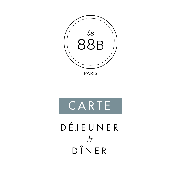



DÉJEUNER  $\&$ DÎNER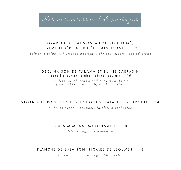Nos délicatesses / À partager

# GRAVLAX DE SAUMON AU PAPRIKA FUMÉ, CRÈME LÉGÈRE ACIDULÉE, PAIN TOASTÉ 19

*Salmon gravlax with smoked paprika, light sour cream , toasted bread*

# DÉCLINAISON DE TARAMA ET BLINIS SARRASIN (corail d'oursin, crabe, tobiko, caviar) 16

*Declination of tarama and buckwheat blinis ( sea urchin coral , crab , tobiko , caviar)*

# VEGAN « LE POIS CHICHE » HOUMOUS, FALAFELS & TABOULÉ 14

*« The chickpea » houmous, falafels & tabbouleh*

### CEUFS MIMOSA, MAYONNAISE 13

*Mimosa eggs , mayonnaise*

# PLANCHE DE SALAISON, PICKLES DE LÉGUMES 16

*Cured meat board , vegetable pickles*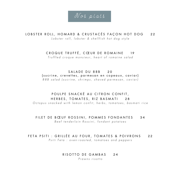

# LOBSTER ROLL, HOMARD & CRUSTACÉS FAÇON HOT DOG 22

*Lobster roll, lobster & shellfish hot dog style*

### CROQUE TRUFFÉ, CŒUR DE ROMAINE 19

*Truffled croque monsieur, heart of romaine salad*

# SALADE DU 88B 20 (sucrine, crevettes, parmesan en copeaux, caviar)

*88B salad (sucrine, shrimps , shaved parmesan, caviar)*

# POULPE SNACKÉ AU CITRON CONFIT, HERBES, TOMATES, RIZ BASMATI 2 8

*Octopus snacked with lemon confit, herbs , tomatoes , basmati rice*

#### FILET DE BŒUF ROSSINI, POMMES FONDANTES 34 *Beef tenderloin Rossini, fondant potatoes*

# FETA PSITI : GRILLÉE AU FOUR, TOMATES & POIVRONS 22

*Psiti Feta : oven - roasted , tomatoes and peppers*

#### RISOTTO DE GAMBAS 24

*Prawns risotto*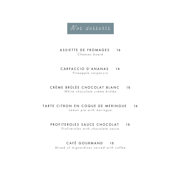Nos desserts

# ASSIETTE DE FROMAGES 16 *Cheeses boar d*

- CARPACCIO D'ANANAS 14 *Pineapple carpaccio*
- CRÈME BRÛLÉE CHOCOLAT BLANC 15 *White chocolate crème brûlée*
- TARTE CITRON EN COQUE DE MERINGUE 16 *Lemon pie with meringue*
	- PROFITEROLES SAUCE CHOCOLAT 15

*Profiteroles with chocolate sauce*

# CAFÉ GOURMAND 15

*Mixed of mignardises served with coffee*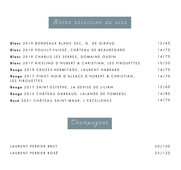# Notre sélection de vins

| Blanc 2019 BORDEAUX BLANC SEC, G. DE GIRAUD                            | 12/60 |
|------------------------------------------------------------------------|-------|
| Blanc 2019 POUILLY-FUISSÉ, CHÂTEAU DE BEAUREGARD                       | 14/70 |
| Blanc 2019 CHABLIS LES SERRES, DOMAINE OUDIN                           | 14/70 |
| Blanc 2017 RIESLING D'HUBERT & CHRISTIAN, LES PIROUETTES               | 10/50 |
| Rouge 2019 CROZES-HERMITAGE, LAURENT HABRARD                           | 14/70 |
| Rouge 2017 PINOT NOIR D'ALSACE D'HUBERT & CHRISTIAN,<br>LES PIROUETTES | 14/70 |
| Rouge 2017 SAINT-ESTEPHE, LA DEVISE DE LILIAN                          | 12/60 |
| Rouge 2015 CHÂTEAU GARRAUD, LALANDE DE POMEROL                         | 14/80 |
| Rosé 2021 CHÂTEAU SAINT-MAUR, L'EXCELLENCE                             | 14/70 |

Champagnes

LAURENT PERRIER BRUT LAURENT PERRIER ROSÉ 20/100 22/120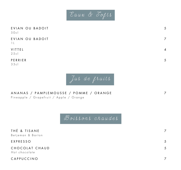

| EVIAN OU BADOIT<br>50c            | 5                         |
|-----------------------------------|---------------------------|
| EVIAN OU BADOIT<br>$\overline{1}$ | 7                         |
| VITTEL<br>25c                     | $\boldsymbol{\varLambda}$ |
| PERRIER                           |                           |

33cl



ANANAS / PAMPLEMOUSSE / POMME / ORANGE 7 Pineapple / Grapefruit / Apple / Orange

Boissons chaudes

| THÉ & TISANE<br>Betjeman & Barton |   |
|-----------------------------------|---|
| EXPRESSO                          | 5 |
| CHOCOLAT CHAUD<br>Hot chocolate   | 5 |
| CAPPUCCINO                        |   |